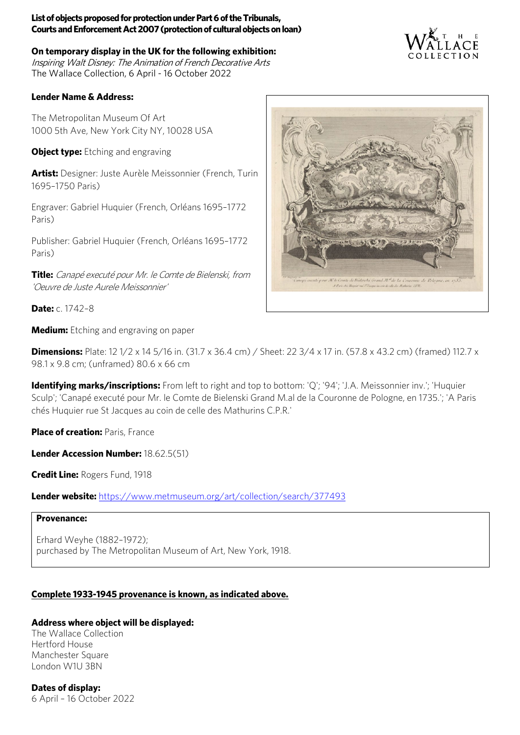**On temporary display in the UK for the following exhibition:** Inspiring Walt Disney: The Animation of French Decorative Arts The Wallace Collection, 6 April - 16 October 2022

### **Lender Name & Address:**

The Metropolitan Museum Of Art 1000 5th Ave, New York City NY, 10028 USA

**Object type:** Etching and engraving

**Artist:** Designer: Juste Aurèle Meissonnier (French, Turin 1695–1750 Paris)

Engraver: Gabriel Huquier (French, Orléans 1695–1772 Paris)

Publisher: Gabriel Huquier (French, Orléans 1695–1772 Paris)

**Title:** Canapé executé pour Mr. le Comte de Bielenski, from 'Oeuvre de Juste Aurele Meissonnier'

**Date:** c. 1742–8

**Medium:** Etching and engraving on paper

**Dimensions:** Plate: 12 1/2 x 14 5/16 in. (31.7 x 36.4 cm) / Sheet: 22 3/4 x 17 in. (57.8 x 43.2 cm) (framed) 112.7 x 98.1 x 9.8 cm; (unframed) 80.6 x 66 cm

**Identifying marks/inscriptions:** From left to right and top to bottom: 'Q'; '94'; 'J.A. Meissonnier inv.'; 'Huquier Sculp'; 'Canapé executé pour Mr. le Comte de Bielenski Grand M.al de la Couronne de Pologne, en 1735.'; 'A Paris chés Huquier rue St Jacques au coin de celle des Mathurins C.P.R.'

**Place of creation: Paris, France** 

**Lender Accession Number:** 18.62.5(51)

**Credit Line:** Rogers Fund, 1918

**Lender website:** <https://www.metmuseum.org/art/collection/search/377493>

#### **Provenance:**

Erhard Weyhe (1882–1972); purchased by The Metropolitan Museum of Art, New York, 1918.

# **Complete 1933-1945 provenance is known, as indicated above.**

# **Address where object will be displayed:**

The Wallace Collection Hertford House Manchester Square London W1U 3BN



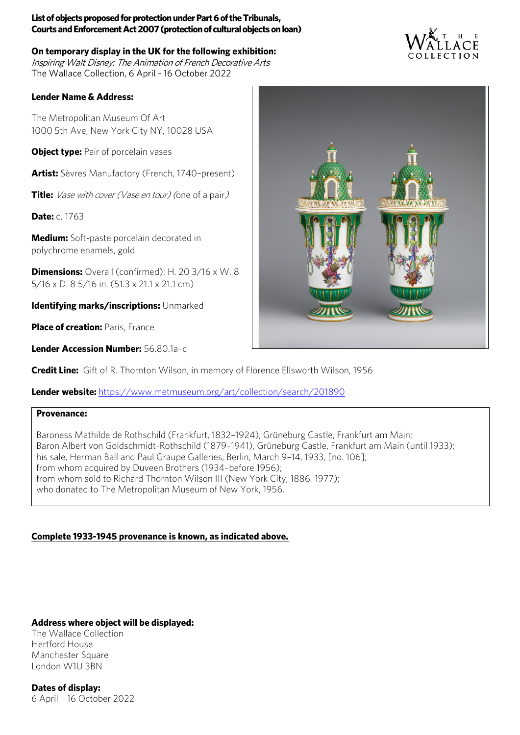**On temporary display in the UK for the following exhibition:** Inspiring Walt Disney: The Animation of French Decorative Arts The Wallace Collection, 6 April - 16 October 2022

# **Lender Name & Address:**

The Metropolitan Museum Of Art 1000 5th Ave, New York City NY, 10028 USA

**Object type:** Pair of porcelain vases

**Artist:** Sèvres Manufactory (French, 1740–present)

**Title:** Vase with cover (Vase en tour) (one of a pair)

**Date:** c. 1763

**Medium:** Soft-paste porcelain decorated in polychrome enamels, gold

**Dimensions:** Overall (confirmed): H. 20 3/16 x W. 8 5/16 x D. 8 5/16 in. (51.3 x 21.1 x 21.1 cm)

**Identifying marks/inscriptions:** Unmarked

**Place of creation: Paris, France** 

**Lender Accession Number:** 56.80.1a–c

**Credit Line:** Gift of R. Thornton Wilson, in memory of Florence Ellsworth Wilson, 1956

**Lender website:** <https://www.metmuseum.org/art/collection/search/201890>

#### **Provenance:**

Baroness Mathilde de Rothschild (Frankfurt, 1832–1924), Grüneburg Castle, Frankfurt am Main; Baron Albert von Goldschmidt-Rothschild (1879–1941), Grüneburg Castle, Frankfurt am Main (until 1933); his sale, Herman Ball and Paul Graupe Galleries, Berlin, March 9–14, 1933, [no. 106]; from whom acquired by Duveen Brothers (1934–before 1956); from whom sold to Richard Thornton Wilson III (New York City, 1886–1977); who donated to The Metropolitan Museum of New York, 1956.

# **Complete 1933-1945 provenance is known, as indicated above.**

**Address where object will be displayed:**

The Wallace Collection Hertford House Manchester Square London W1U 3BN



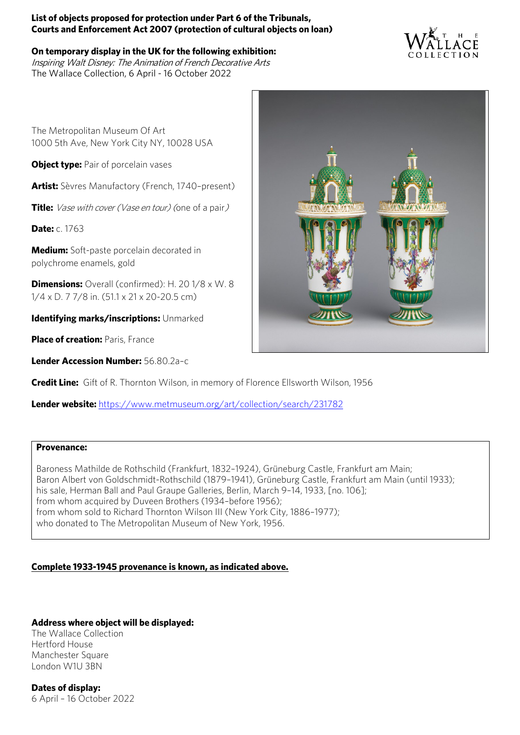### **On temporary display in the UK for the following exhibition:**

Inspiring Walt Disney: The Animation of French Decorative Arts The Wallace Collection, 6 April - 16 October 2022



The Metropolitan Museum Of Art 1000 5th Ave, New York City NY, 10028 USA

**Object type:** Pair of porcelain vases

**Artist:** Sèvres Manufactory (French, 1740–present)

**Title:** Vase with cover (Vase en tour) (one of a pair)

**Date:** c. 1763

**Medium:** Soft-paste porcelain decorated in polychrome enamels, gold

**Dimensions:** Overall (confirmed): H. 20 1/8 x W. 8 1/4 x D. 7 7/8 in. (51.1 x 21 x 20-20.5 cm)

**Identifying marks/inscriptions:** Unmarked

**Place of creation: Paris, France** 

**Lender Accession Number:** 56.80.2a–c

**Credit Line:** Gift of R. Thornton Wilson, in memory of Florence Ellsworth Wilson, 1956

**Lender website:** <https://www.metmuseum.org/art/collection/search/231782>

### **Provenance:**

Baroness Mathilde de Rothschild (Frankfurt, 1832–1924), Grüneburg Castle, Frankfurt am Main; Baron Albert von Goldschmidt-Rothschild (1879–1941), Grüneburg Castle, Frankfurt am Main (until 1933); his sale, Herman Ball and Paul Graupe Galleries, Berlin, March 9-14, 1933, [no. 106]; from whom acquired by Duveen Brothers (1934–before 1956); from whom sold to Richard Thornton Wilson III (New York City, 1886–1977); who donated to The Metropolitan Museum of New York, 1956.

# **Complete 1933-1945 provenance is known, as indicated above.**

# **Address where object will be displayed:**

The Wallace Collection Hertford House Manchester Square London W1U 3BN

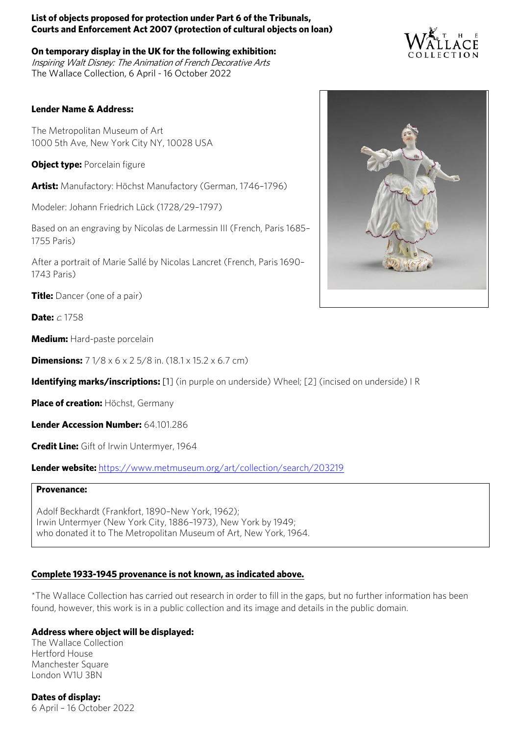**On temporary display in the UK for the following exhibition:** Inspiring Walt Disney: The Animation of French Decorative Arts The Wallace Collection, 6 April - 16 October 2022

### **Lender Name & Address:**

The Metropolitan Museum of Art 1000 5th Ave, New York City NY, 10028 USA

**Object type: Porcelain figure** 

**Artist:** Manufactory: Höchst Manufactory (German, 1746–1796)

Modeler: Johann Friedrich Lück (1728/29–1797)

Based on an engraving by Nicolas de Larmessin III (French, Paris 1685– 1755 Paris)

After a portrait of Marie Sallé by Nicolas Lancret (French, Paris 1690– 1743 Paris)

**Title:** Dancer (one of a pair)

**Date:**  $c$  1758

**Medium:** Hard-paste porcelain

**Dimensions:** 7 1/8 x 6 x 2 5/8 in. (18.1 x 15.2 x 6.7 cm)

**Identifying marks/inscriptions:** [1] (in purple on underside) Wheel; [2] (incised on underside) I R

**Place of creation:** Höchst, Germany

**Lender Accession Number:** 64.101.286

**Credit Line:** Gift of Irwin Untermyer, 1964

**Lender website:** <https://www.metmuseum.org/art/collection/search/203219>

#### **Provenance:**

Adolf Beckhardt (Frankfort, 1890–New York, 1962); Irwin Untermyer (New York City, 1886–1973), New York by 1949; who donated it to The Metropolitan Museum of Art, New York, 1964.

### **Complete 1933-1945 provenance is not known, as indicated above.**

\*The Wallace Collection has carried out research in order to fill in the gaps, but no further information has been found, however, this work is in a public collection and its image and details in the public domain.

### **Address where object will be displayed:**

The Wallace Collection Hertford House Manchester Square London W1U 3BN



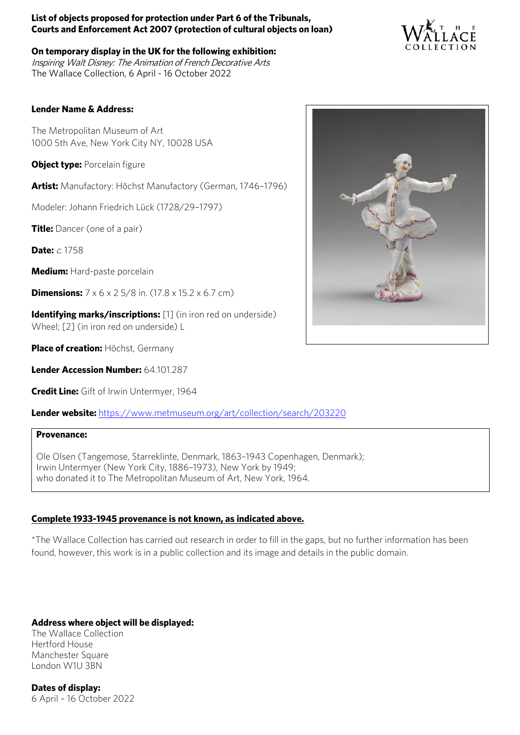**On temporary display in the UK for the following exhibition:** Inspiring Walt Disney: The Animation of French Decorative Arts The Wallace Collection, 6 April - 16 October 2022



### **Lender Name & Address:**

The Metropolitan Museum of Art 1000 5th Ave, New York City NY, 10028 USA

**Object type: Porcelain figure** 

**Artist:** Manufactory: Höchst Manufactory (German, 1746–1796)

Modeler: Johann Friedrich Lück (1728/29–1797)

**Title:** Dancer (one of a pair)

**Date:**  $c$  1758

**Medium:** Hard-paste porcelain

**Dimensions:**  $7 \times 6 \times 25/8$  in. (17.8 x 15.2 x 6.7 cm)

**Identifying marks/inscriptions:** [1] (in iron red on underside) Wheel; [2] (in iron red on underside) L

**Place of creation:** Höchst, Germany

**Lender Accession Number:** 64.101.287

**Credit Line:** Gift of Irwin Untermyer, 1964

**Lender website:** <https://www.metmuseum.org/art/collection/search/203220>

#### **Provenance:**

Ole Olsen (Tangemose, Starreklinte, Denmark, 1863–1943 Copenhagen, Denmark); Irwin Untermyer (New York City, 1886–1973), New York by 1949; who donated it to The Metropolitan Museum of Art, New York, 1964.

# **Complete 1933-1945 provenance is not known, as indicated above.**

\*The Wallace Collection has carried out research in order to fill in the gaps, but no further information has been found, however, this work is in a public collection and its image and details in the public domain.

# **Address where object will be displayed:**

The Wallace Collection Hertford House Manchester Square London W1U 3BN

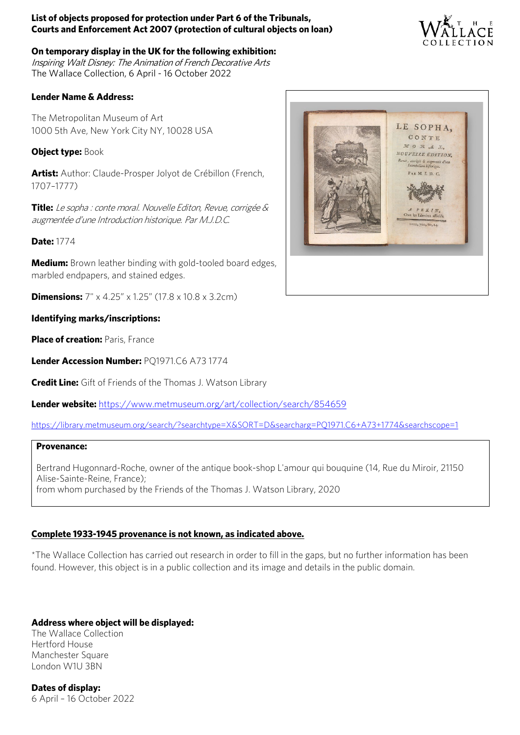

**On temporary display in the UK for the following exhibition:** Inspiring Walt Disney: The Animation of French Decorative Arts The Wallace Collection, 6 April - 16 October 2022

# **Lender Name & Address:**

The Metropolitan Museum of Art 1000 5th Ave, New York City NY, 10028 USA

**Object type: Book** 

**Artist:** Author: Claude-Prosper Jolyot de Crébillon (French, 1707–1777)

**Title:** Le sopha : conte moral. Nouvelle Editon, Revue, corrigée & augmentée d'une Introduction historique. Par M.J.D.C.

**Date:** 1774

**Medium:** Brown leather binding with gold-tooled board edges, marbled endpapers, and stained edges.

**Dimensions:**  $7'' \times 4.25'' \times 1.25''$  (17.8 x 10.8 x 3.2cm)

# **Identifying marks/inscriptions:**

**Place of creation: Paris, France** 

**Lender Accession Number:** PQ1971.C6 A73 1774

**Credit Line:** Gift of Friends of the Thomas J. Watson Library

**Lender website:** <https://www.metmuseum.org/art/collection/search/854659>

<https://library.metmuseum.org/search/?searchtype=X&SORT=D&searcharg=PQ1971.C6+A73+1774&searchscope=1>

### **Provenance:**

Bertrand Hugonnard-Roche, owner of the antique book-shop L'amour qui bouquine (14, Rue du Miroir, 21150 Alise-Sainte-Reine, France); from whom purchased by the Friends of the Thomas J. Watson Library, 2020

# **Complete 1933-1945 provenance is not known, as indicated above.**

\*The Wallace Collection has carried out research in order to fill in the gaps, but no further information has been found. However, this object is in a public collection and its image and details in the public domain.

# **Address where object will be displayed:**

The Wallace Collection Hertford House Manchester Square London W1U 3BN

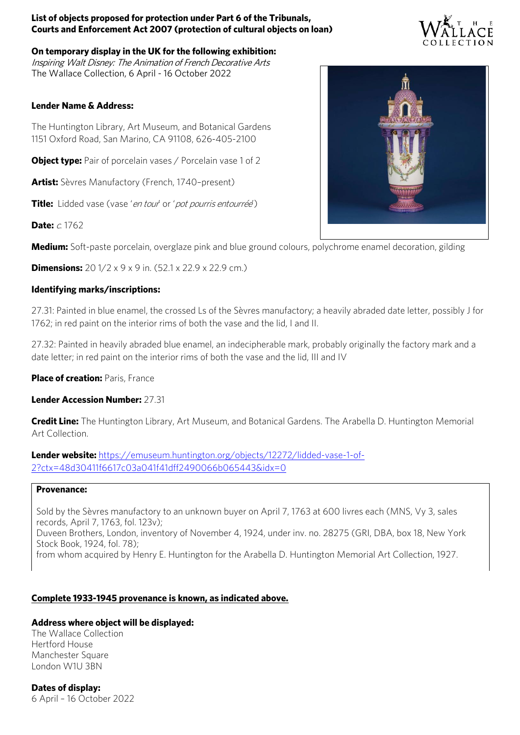**On temporary display in the UK for the following exhibition:** Inspiring Walt Disney: The Animation of French Decorative Arts The Wallace Collection, 6 April - 16 October 2022

### **Lender Name & Address:**

The Huntington Library, Art Museum, and Botanical Gardens 1151 Oxford Road, San Marino, CA 91108, 626-405-2100

**Object type:** Pair of porcelain vases / Porcelain vase 1 of 2

**Artist:** Sèvres Manufactory (French, 1740–present)

**Title:** Lidded vase (vase 'en tour' or 'pot pourris entourrée')

**Date:**  $c$  1762

**Medium:** Soft-paste porcelain, overglaze pink and blue ground colours, polychrome enamel decoration, gilding

**Dimensions:** 20 1/2 x 9 x 9 in. (52.1 x 22.9 x 22.9 cm.)

### **Identifying marks/inscriptions:**

27.31: Painted in blue enamel, the crossed Ls of the Sèvres manufactory; a heavily abraded date letter, possibly J for 1762; in red paint on the interior rims of both the vase and the lid, I and II.

27.32: Painted in heavily abraded blue enamel, an indecipherable mark, probably originally the factory mark and a date letter; in red paint on the interior rims of both the vase and the lid, III and IV

**Place of creation: Paris, France** 

**Lender Accession Number:** 27.31

**Credit Line:** The Huntington Library, Art Museum, and Botanical Gardens. The Arabella D. Huntington Memorial Art Collection.

**Lender website:** [https://emuseum.huntington.org/objects/12272/lidded-vase-1-of-](https://emuseum.huntington.org/objects/12272/lidded-vase-1-of-2?ctx=48d30411f6617c03a041f41dff2490066b065443&idx=0)[2?ctx=48d30411f6617c03a041f41dff2490066b065443&idx=0](https://emuseum.huntington.org/objects/12272/lidded-vase-1-of-2?ctx=48d30411f6617c03a041f41dff2490066b065443&idx=0)

### **Provenance:**

Sold by the Sèvres manufactory to an unknown buyer on April 7, 1763 at 600 livres each (MNS, Vy 3, sales records, April 7, 1763, fol. 123v); Duveen Brothers, London, inventory of November 4, 1924, under inv. no. 28275 (GRI, DBA, box 18, New York Stock Book, 1924, fol. 78); from whom acquired by Henry E. Huntington for the Arabella D. Huntington Memorial Art Collection, 1927.

# **Complete 1933-1945 provenance is known, as indicated above.**

# **Address where object will be displayed:**

The Wallace Collection Hertford House Manchester Square London W1U 3BN